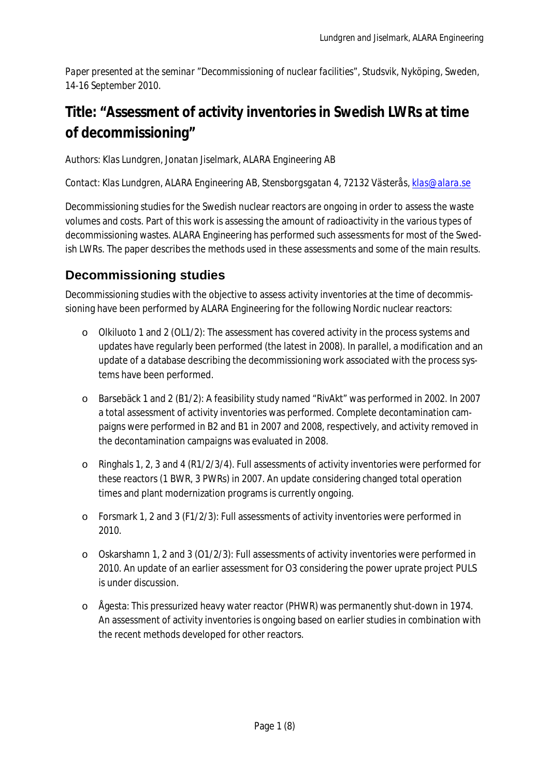*Paper presented at the seminar "Decommissioning of nuclear facilities", Studsvik, Nyköping, Sweden, 14-16 September 2010.* 

# **Title: "Assessment of activity inventories in Swedish LWRs at time of decommissioning"**

*Authors: Klas Lundgren, Jonatan Jiselmark, ALARA Engineering AB*

*Contact: Klas Lundgren, ALARA Engineering AB, Stensborgsgatan 4, 72132 Västerås, klas@alara.se*

Decommissioning studies for the Swedish nuclear reactors are ongoing in order to assess the waste volumes and costs. Part of this work is assessing the amount of radioactivity in the various types of decommissioning wastes. ALARA Engineering has performed such assessments for most of the Swedish LWRs. The paper describes the methods used in these assessments and some of the main results.

### **Decommissioning studies**

Decommissioning studies with the objective to assess activity inventories at the time of decommissioning have been performed by ALARA Engineering for the following Nordic nuclear reactors:

- o Olkiluoto 1 and 2 (OL1/2): The assessment has covered activity in the process systems and updates have regularly been performed (the latest in 2008). In parallel, a modification and an update of a database describing the decommissioning work associated with the process systems have been performed.
- o Barsebäck 1 and 2 (B1/2): A feasibility study named "RivAkt" was performed in 2002. In 2007 a total assessment of activity inventories was performed. Complete decontamination campaigns were performed in B2 and B1 in 2007 and 2008, respectively, and activity removed in the decontamination campaigns was evaluated in 2008.
- o Ringhals 1, 2, 3 and 4 (R1/2/3/4). Full assessments of activity inventories were performed for these reactors (1 BWR, 3 PWRs) in 2007. An update considering changed total operation times and plant modernization programs is currently ongoing.
- o Forsmark 1, 2 and 3 (F1/2/3): Full assessments of activity inventories were performed in 2010.
- o Oskarshamn 1, 2 and 3 (O1/2/3): Full assessments of activity inventories were performed in 2010. An update of an earlier assessment for O3 considering the power uprate project PULS is under discussion.
- o Ågesta: This pressurized heavy water reactor (PHWR) was permanently shut-down in 1974. An assessment of activity inventories is ongoing based on earlier studies in combination with the recent methods developed for other reactors.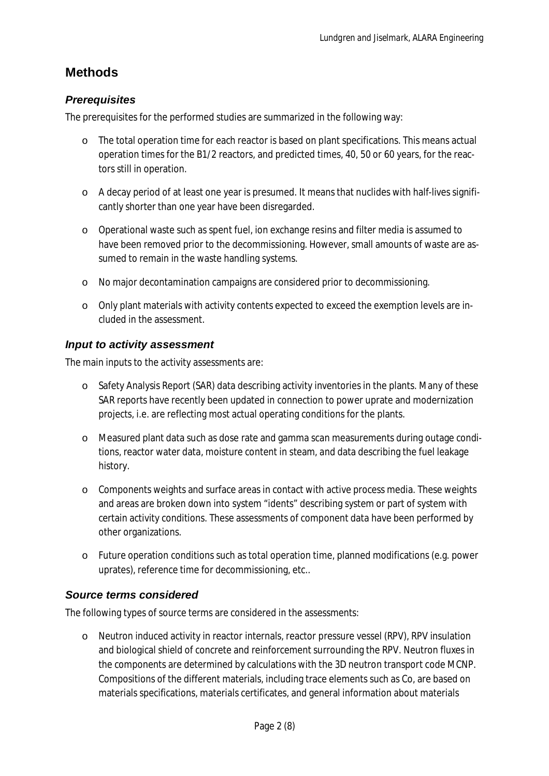### **Methods**

#### *Prerequisites*

The prerequisites for the performed studies are summarized in the following way:

- o The total operation time for each reactor is based on plant specifications. This means actual operation times for the B1/2 reactors, and predicted times, 40, 50 or 60 years, for the reactors still in operation.
- o A decay period of at least one year is presumed. It means that nuclides with half-lives significantly shorter than one year have been disregarded.
- o Operational waste such as spent fuel, ion exchange resins and filter media is assumed to have been removed prior to the decommissioning. However, small amounts of waste are assumed to remain in the waste handling systems.
- o No major decontamination campaigns are considered prior to decommissioning.
- o Only plant materials with activity contents expected to exceed the exemption levels are included in the assessment.

#### *Input to activity assessment*

The main inputs to the activity assessments are:

- o Safety Analysis Report (SAR) data describing activity inventories in the plants. Many of these SAR reports have recently been updated in connection to power uprate and modernization projects, i.e. are reflecting most actual operating conditions for the plants.
- o Measured plant data such as dose rate and gamma scan measurements during outage conditions, reactor water data, moisture content in steam, and data describing the fuel leakage history.
- o Components weights and surface areas in contact with active process media. These weights and areas are broken down into system "idents" describing system or part of system with certain activity conditions. These assessments of component data have been performed by other organizations.
- o Future operation conditions such as total operation time, planned modifications (e.g. power uprates), reference time for decommissioning, etc..

#### *Source terms considered*

The following types of source terms are considered in the assessments:

o Neutron induced activity in reactor internals, reactor pressure vessel (RPV), RPV insulation and biological shield of concrete and reinforcement surrounding the RPV. Neutron fluxes in the components are determined by calculations with the 3D neutron transport code MCNP. Compositions of the different materials, including trace elements such as Co, are based on materials specifications, materials certificates, and general information about materials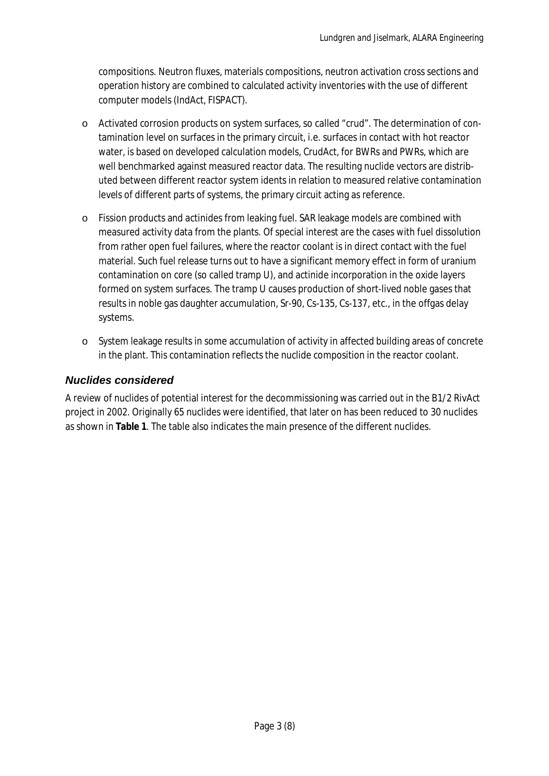compositions. Neutron fluxes, materials compositions, neutron activation cross sections and operation history are combined to calculated activity inventories with the use of different computer models (IndAct, FISPACT).

- o Activated corrosion products on system surfaces, so called "crud". The determination of contamination level on surfaces in the primary circuit, i.e. surfaces in contact with hot reactor water, is based on developed calculation models, CrudAct, for BWRs and PWRs, which are well benchmarked against measured reactor data. The resulting nuclide vectors are distributed between different reactor system idents in relation to measured relative contamination levels of different parts of systems, the primary circuit acting as reference.
- o Fission products and actinides from leaking fuel. SAR leakage models are combined with measured activity data from the plants. Of special interest are the cases with fuel dissolution from rather open fuel failures, where the reactor coolant is in direct contact with the fuel material. Such fuel release turns out to have a significant memory effect in form of uranium contamination on core (so called tramp U), and actinide incorporation in the oxide layers formed on system surfaces. The tramp U causes production of short-lived noble gases that results in noble gas daughter accumulation, Sr-90, Cs-135, Cs-137, etc., in the offgas delay systems.
- o System leakage results in some accumulation of activity in affected building areas of concrete in the plant. This contamination reflects the nuclide composition in the reactor coolant.

### *Nuclides considered*

A review of nuclides of potential interest for the decommissioning was carried out in the B1/2 RivAct project in 2002. Originally 65 nuclides were identified, that later on has been reduced to 30 nuclides as shown in **Table 1**. The table also indicates the main presence of the different nuclides.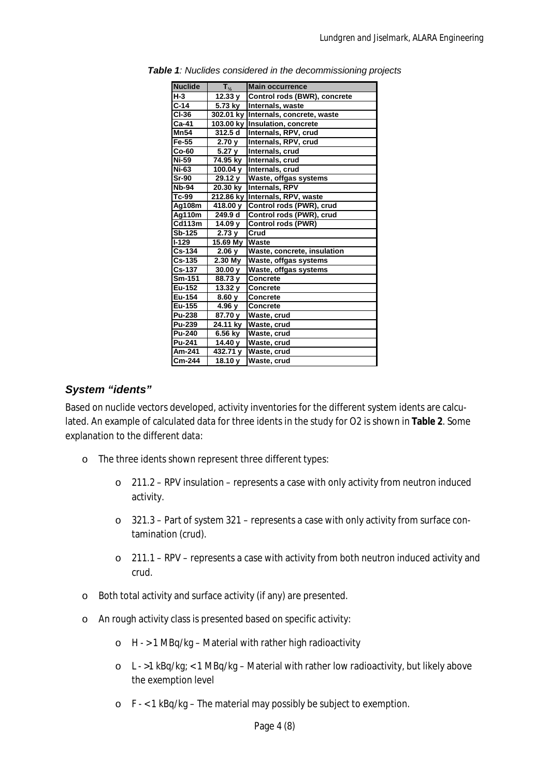| <b>Nuclide</b> | $T_{\frac{1}{2}}$ | <b>Main occurrence</b>               |
|----------------|-------------------|--------------------------------------|
| $H-3$          | 12.33 y           | Control rods (BWR), concrete         |
| $C-14$         | 5.73 kv           | Internals, waste                     |
| CI-36          |                   | 302.01 ky Internals, concrete, waste |
| $Ca-41$        |                   | 103.00 ky Insulation, concrete       |
| <b>Mn54</b>    | 312.5 d           | Internals, RPV, crud                 |
| Fe-55          | 2.70v             | Internals, RPV, crud                 |
| $Co-60$        | 5.27 <sub>V</sub> | Internals, crud                      |
| Ni-59          | 74.95 ky          | Internals, crud                      |
| Ni-63          | 100.04 y          | Internals, crud                      |
| <b>Sr-90</b>   | 29.12 y           | Waste, offgas systems                |
| <b>Nb-94</b>   | 20.30 kv          | <b>Internals, RPV</b>                |
| Tc-99          | 212.86 kv         | Internals, RPV, waste                |
| Ag108m         | 418.00 y          | Control rods (PWR), crud             |
| Ag110m         | 249.9 d           | Control rods (PWR), crud             |
| <b>Cd113m</b>  | 14.09 v           | <b>Control rods (PWR)</b>            |
| <b>Sb-125</b>  | 2.73v             | Crud                                 |
| I-129          | 15.69 My          | Waste                                |
| Cs-134         | 2.06y             | Waste, concrete, insulation          |
| Cs-135         | $2.30$ My         | Waste, offgas systems                |
| <b>Cs-137</b>  | 30.00v            | Waste, offgas systems                |
| Sm-151         | 88.73 y           | <b>Concrete</b>                      |
| Eu-152         | 13.32 y           | <b>Concrete</b>                      |
| Eu-154         | 8.60y             | <b>Concrete</b>                      |
| Eu-155         | 4.96 y            | <b>Concrete</b>                      |
| <b>Pu-238</b>  | 87.70 y           | Waste, crud                          |
| Pu-239         | $24.11$ ky        | Waste, crud                          |
| Pu-240         | 6.56 ky           | Waste, crud                          |
| Pu-241         | 14.40 y           | Waste, crud                          |
| Am-241         | 432.71 y          | Waste, crud                          |
| Cm-244         | 18.10 y           | Waste, crud                          |

*Table 1: Nuclides considered in the decommissioning projects*

#### *System "idents"*

Based on nuclide vectors developed, activity inventories for the different system idents are calculated. An example of calculated data for three idents in the study for O2 is shown in **Table 2**. Some explanation to the different data:

- o The three idents shown represent three different types:
	- o 211.2 RPV insulation represents a case with only activity from neutron induced activity.
	- o 321.3 Part of system 321 represents a case with only activity from surface contamination (crud).
	- o 211.1 RPV represents a case with activity from both neutron induced activity and crud.
- o Both total activity and surface activity (if any) are presented.
- o An rough activity class is presented based on specific activity:
	- o H > 1 MBq/kg Material with rather high radioactivity
	- o L >1 kBq/kg; < 1 MBq/kg Material with rather low radioactivity, but likely above the exemption level
	- o F < 1 kBq/kg The material may possibly be subject to exemption.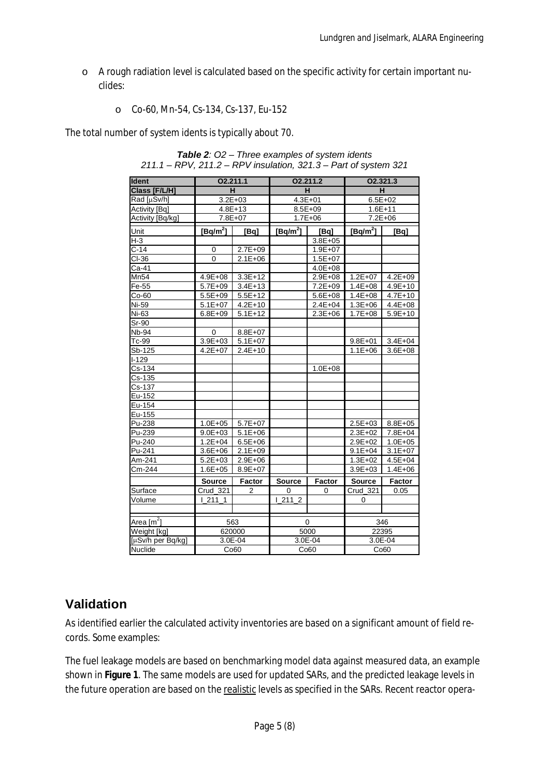- o A rough radiation level is calculated based on the specific activity for certain important nuclides:
	- o Co-60, Mn-54, Cs-134, Cs-137, Eu-152

The total number of system idents is typically about 70.

| <b>Ident</b>           | 02.211.1       |                |               | 02.211.2    | O2.321.3        |               |  |
|------------------------|----------------|----------------|---------------|-------------|-----------------|---------------|--|
| Class [F/L/H]          | н              |                |               | H           | H.              |               |  |
| Rad [µSv/h]            | $3.2E + 03$    |                | $4.3E + 01$   |             | $6.5E + 02$     |               |  |
| <b>Activity [Bq]</b>   | $4.8E + 13$    |                | $8.5E + 09$   |             | $1.6E + 11$     |               |  |
| Activity [Bq/kg]       | 7.8E+07        |                |               | $1.7E + 06$ | $7.2E + 06$     |               |  |
| Unit                   | $[Bq/m^2]$     | [Bq]           | $[Bq/m^2]$    | [Bq]        | $[Bq/m^2]$      | [Bq]          |  |
| $H-3$                  |                |                |               | $3.8E + 05$ |                 |               |  |
| $C-14$                 | 0              | $2.7E + 09$    |               | $1.9E + 07$ |                 |               |  |
| CI-36                  | $\overline{0}$ | $2.1E + 06$    |               | $1.5E + 07$ |                 |               |  |
| Ca-41                  |                |                |               | $4.0E + 08$ |                 |               |  |
| Mn54                   | $4.9E + 08$    | $3.3E + 12$    |               | $2.9E + 08$ | $1.2E + 07$     | $4.2E + 09$   |  |
| Fe-55                  | $5.7E + 09$    | $3.4E + 13$    |               | $7.2E + 09$ | $1.4E + 08$     | $4.9E + 10$   |  |
| $Co-60$                | $5.5E + 09$    | $5.5E+12$      |               | $5.6E + 08$ | $1.4E + 08$     | $4.7E + 10$   |  |
| Ni-59                  | $5.1E+07$      | $4.2E + 10$    |               | $2.4E + 04$ | $1.3E + 06$     | $4.4E + 08$   |  |
| Ni-63                  | $6.8E + 09$    | $5.1E + 12$    |               | $2.3E + 06$ | $1.7E + 08$     | $5.9E + 10$   |  |
| Sr-90                  |                |                |               |             |                 |               |  |
| Nb-94                  | 0              | $8.8E + 07$    |               |             |                 |               |  |
| Tc-99                  | $3.9E + 03$    | $5.1E + 07$    |               |             | $9.8E + 01$     | $3.4E + 04$   |  |
| Sb-125                 | $4.2E + 07$    | $2.4E + 10$    |               |             | $1.1E + 06$     | $3.6E + 08$   |  |
| $I-129$                |                |                |               |             |                 |               |  |
| Cs-134                 |                |                |               | $1.0E + 08$ |                 |               |  |
| Cs-135                 |                |                |               |             |                 |               |  |
| Cs-137                 |                |                |               |             |                 |               |  |
| Eu-152                 |                |                |               |             |                 |               |  |
| Eu-154                 |                |                |               |             |                 |               |  |
| Eu-155                 |                |                |               |             |                 |               |  |
| Pu-238                 | $1.0E + 05$    | $5.7E + 07$    |               |             | $2.5E+03$       | $8.8E + 05$   |  |
| Pu-239                 | $9.0E + 03$    | $5.1E + 06$    |               |             | $2.3E+02$       | 7.8E+04       |  |
| Pu-240                 | $1.2E + 04$    | $6.5E + 06$    |               |             | $2.9E + 02$     | $1.0E + 05$   |  |
| Pu-241                 | $3.6E + 06$    | $2.1E + 09$    |               |             | $9.1E + 04$     | $3.1E + 07$   |  |
| Am-241                 | $5.2E + 03$    | $2.9E + 06$    |               |             | $1.3E + 02$     | $4.5E + 04$   |  |
| Cm-244                 | $1.6E + 05$    | $8.9E + 07$    |               |             | $3.9E + 03$     | $1.4E + 06$   |  |
|                        | Source         | Factor         | <b>Source</b> | Factor      | Source          | <b>Factor</b> |  |
| Surface                | Crud_321       | $\overline{2}$ | 0             | 0           | <b>Crud 321</b> | 0.05          |  |
| Volume                 | 12111          |                | 12112         |             | 0               |               |  |
|                        |                |                |               |             |                 |               |  |
| Area [m <sup>2</sup> ] | 563            |                | 0             |             | 346             |               |  |
| Weight [kg]            | 620000         |                | 5000          |             | 22395           |               |  |
| [µSv/h per Bq/kg]      | 3.0E-04        |                | 3.0E-04       |             | 3.0E-04         |               |  |
| Nuclide                | Co60           |                |               | Co60        | Co60            |               |  |

*Table 2: O2 – Three examples of system idents 211.1 – RPV, 211.2 – RPV insulation, 321.3 – Part of system 321*

### **Validation**

As identified earlier the calculated activity inventories are based on a significant amount of field records. Some examples:

The fuel leakage models are based on benchmarking model data against measured data, an example shown in **Figure 1**. The same models are used for updated SARs, and the predicted leakage levels in the future operation are based on the realistic levels as specified in the SARs. Recent reactor opera-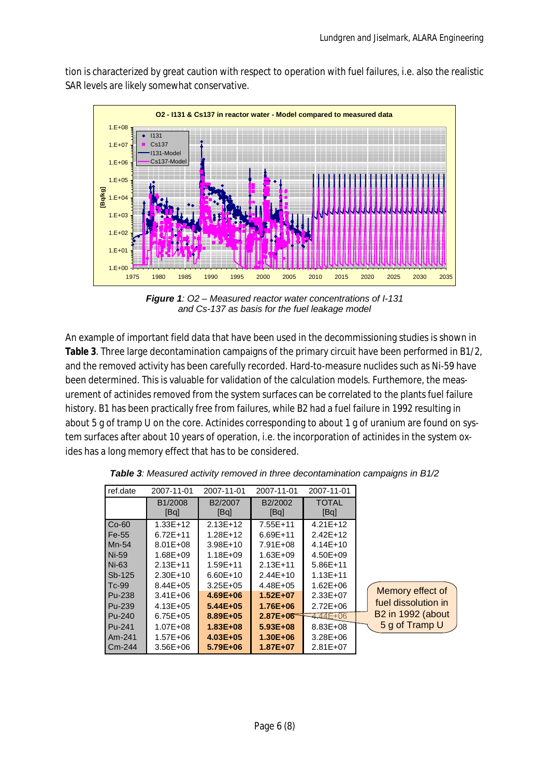**O2 - I131 & Cs137 in reactor water - Model compared to measured data**  $1.5 + 0.0$ 1.E+01  $1.5 + 02$ 1.E+03 1.E+04 1.E+05 1.E+06 1.E+07 1.E+08 1975 1980 1985 1990 1995 2000 2005 2010 2015 2020 2025 2030 2035 **[Bq/kg]** I131 Cs137 I131-Model Cs137-Mode

tion is characterized by great caution with respect to operation with fuel failures, i.e. also the realistic SAR levels are likely somewhat conservative.

*Figure 1: O2 – Measured reactor water concentrations of I-131 and Cs-137 as basis for the fuel leakage model*

An example of important field data that have been used in the decommissioning studies is shown in **Table 3**. Three large decontamination campaigns of the primary circuit have been performed in B1/2, and the removed activity has been carefully recorded. Hard-to-measure nuclides such as Ni-59 have been determined. This is valuable for validation of the calculation models. Furthemore, the measurement of actinides removed from the system surfaces can be correlated to the plants fuel failure history. B1 has been practically free from failures, while B2 had a fuel failure in 1992 resulting in about 5 g of tramp U on the core. Actinides corresponding to about 1 g of uranium are found on system surfaces after about 10 years of operation, i.e. the incorporation of actinides in the system oxides has a long memory effect that has to be considered.

| ref.date | 2007-11-01                   | 2007-11-01      | 2007-11-01      | 2007-11-01           |                          |
|----------|------------------------------|-----------------|-----------------|----------------------|--------------------------|
|          | B <sub>1</sub> /2008<br>[Bq] | B2/2007<br>[Bq] | B2/2002<br>[Bq] | <b>TOTAL</b><br>[Bq] |                          |
| $Co-60$  | $1.33E+12$                   | $2.13E+12$      | 7.55E+11        | $4.21E+12$           |                          |
| Fe-55    | $6.72E + 11$                 | $1.28E+12$      | $6.69E+11$      | 2.42E+12             |                          |
| Mn-54    | $8.01E + 08$                 | $3.98E+10$      | 7.91E+08        | $4.14E+10$           |                          |
| Ni-59    | $1.68E + 09$                 | $1.18E + 09$    | $1.63E + 09$    | $4.50E + 09$         |                          |
| Ni-63    | $2.13E + 11$                 | $1.59E + 11$    | $2.13E+11$      | $5.86E+11$           |                          |
| $Sb-125$ | $2.30E+10$                   | $6.60E+10$      | 2.44E+10        | $1.13E + 11$         |                          |
| $Tc-99$  | $8.44E + 05$                 | $3.25E + 05$    | 4.48E+05        | $1.62E + 06$         |                          |
| Pu-238   | $3.41E + 06$                 | $4.69E + 06$    | $1.52E + 07$    | 2.33E+07             | Memory effect of         |
| Pu-239   | $4.13E + 05$                 | $5.44E + 05$    | $1.76E + 06$    | $2.72E + 06$         | fuel dissolution in      |
| Pu-240   | $6.75E + 05$                 | 8.89E+05        | $2.87E + 06$    | 444E+06              | <b>B2 in 1992 (about</b> |
| Pu-241   | $1.07E + 08$                 | $1.83E + 08$    | $5.93E + 08$    | 8.83E+08             | 5 g of Tramp U           |
| Am-241   | $1.57E + 06$                 | $4.03E + 05$    | $1.30E + 06$    | $3.28E + 06$         |                          |
| Cm-244   | $3.56E + 06$                 | 5.79E+06        | 1.87E+07        | 2.81E+07             |                          |

*Table 3: Measured activity removed in three decontamination campaigns in B1/2*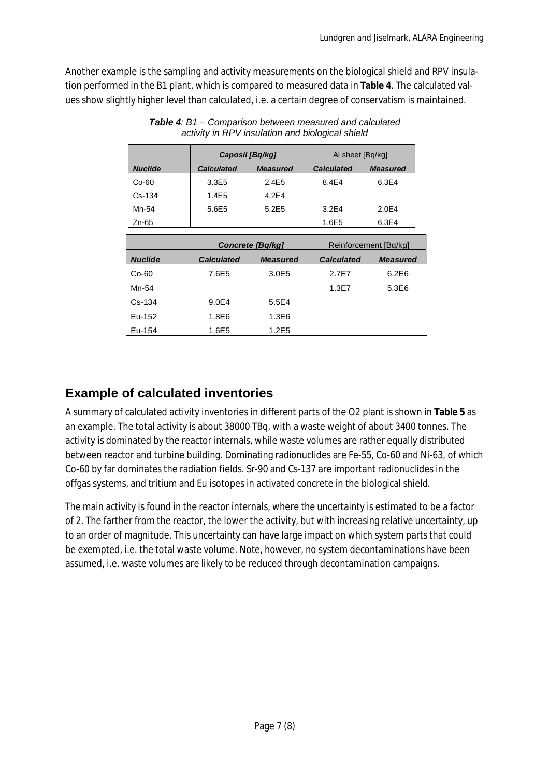Another example is the sampling and activity measurements on the biological shield and RPV insulation performed in the B1 plant, which is compared to measured data in **Table 4**. The calculated values show slightly higher level than calculated, i.e. a certain degree of conservatism is maintained.

|                |                   | Caposil [Bq/kg]   | AI sheet [Bq/kg]      |                 |  |
|----------------|-------------------|-------------------|-----------------------|-----------------|--|
| <b>Nuclide</b> | <b>Calculated</b> | <b>Measured</b>   | <b>Calculated</b>     | <b>Measured</b> |  |
| $Co-60$        | 3.3E5             | 2.4E5             | 8.4E4                 | 6.3E4           |  |
| $Cs - 134$     | 1.4E5             | 4.2F <sub>4</sub> |                       |                 |  |
| Mn-54          | 5.6E5             | 5.2E5             | 3.2E4                 | 2.0E4           |  |
| Zn-65          |                   |                   | 1.6E5                 | 6.3E4           |  |
|                |                   |                   |                       |                 |  |
|                |                   | Concrete [Bq/kg]  | Reinforcement [Bq/kg] |                 |  |
| <b>Nuclide</b> | <b>Calculated</b> | <b>Measured</b>   | <b>Calculated</b>     | <b>Measured</b> |  |
| $Co-60$        | 7.6E5             | 3.0E5             | 2.7F7                 | 6.2E6           |  |
| Mn-54          |                   |                   | 1.3E7                 | 5.3E6           |  |
| $Cs - 134$     | 9.0E4             | 5.5E4             |                       |                 |  |
| Eu-152         | 1.8E6             | 1.3E6             |                       |                 |  |
| Eu-154         | 1.6E5             | 1.2E5             |                       |                 |  |

*Table 4: B1 – Comparison between measured and calculated activity in RPV insulation and biological shield*

## **Example of calculated inventories**

A summary of calculated activity inventories in different parts of the O2 plant is shown in **Table 5** as an example. The total activity is about 38000 TBq, with a waste weight of about 3400 tonnes. The activity is dominated by the reactor internals, while waste volumes are rather equally distributed between reactor and turbine building. Dominating radionuclides are Fe-55, Co-60 and Ni-63, of which Co-60 by far dominates the radiation fields. Sr-90 and Cs-137 are important radionuclides in the offgas systems, and tritium and Eu isotopes in activated concrete in the biological shield.

The main activity is found in the reactor internals, where the uncertainty is estimated to be a factor of 2. The farther from the reactor, the lower the activity, but with increasing relative uncertainty, up to an order of magnitude. This uncertainty can have large impact on which system parts that could be exempted, i.e. the total waste volume. Note, however, no system decontaminations have been assumed, i.e. waste volumes are likely to be reduced through decontamination campaigns.